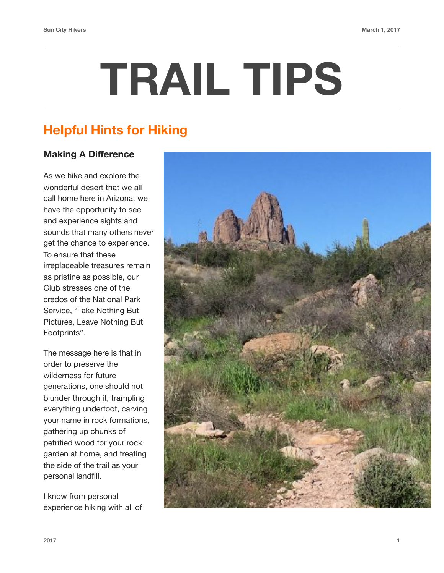# **TRAIL TIPS**

## **Helpful Hints for Hiking**

### **Making A Difference**

As we hike and explore the wonderful desert that we all call home here in Arizona, we have the opportunity to see and experience sights and sounds that many others never get the chance to experience. To ensure that these irreplaceable treasures remain as pristine as possible, our Club stresses one of the credos of the National Park Service, "Take Nothing But Pictures, Leave Nothing But Footprints".

The message here is that in order to preserve the wilderness for future generations, one should not blunder through it, trampling everything underfoot, carving your name in rock formations, gathering up chunks of petrified wood for your rock garden at home, and treating the side of the trail as your personal landfill.

I know from personal experience hiking with all of

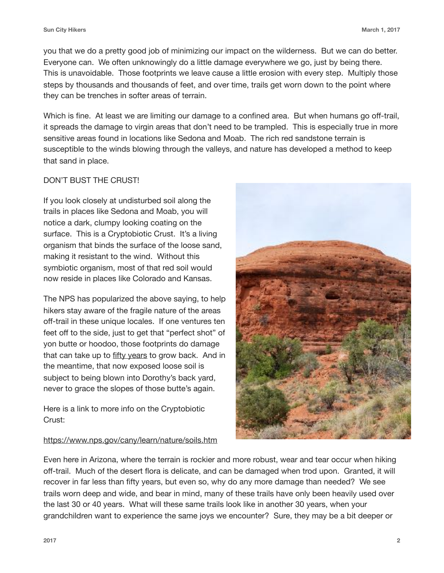you that we do a pretty good job of minimizing our impact on the wilderness. But we can do better. Everyone can. We often unknowingly do a little damage everywhere we go, just by being there. This is unavoidable. Those footprints we leave cause a little erosion with every step. Multiply those steps by thousands and thousands of feet, and over time, trails get worn down to the point where they can be trenches in softer areas of terrain.

Which is fine. At least we are limiting our damage to a confined area. But when humans go off-trail, it spreads the damage to virgin areas that don't need to be trampled. This is especially true in more sensitive areas found in locations like Sedona and Moab. The rich red sandstone terrain is susceptible to the winds blowing through the valleys, and nature has developed a method to keep that sand in place.

#### DON'T BUST THE CRUST!

If you look closely at undisturbed soil along the trails in places like Sedona and Moab, you will notice a dark, clumpy looking coating on the surface. This is a Cryptobiotic Crust. It's a living organism that binds the surface of the loose sand, making it resistant to the wind. Without this symbiotic organism, most of that red soil would now reside in places like Colorado and Kansas.

The NPS has popularized the above saying, to help hikers stay aware of the fragile nature of the areas off-trail in these unique locales. If one ventures ten feet off to the side, just to get that "perfect shot" of yon butte or hoodoo, those footprints do damage that can take up to fifty years to grow back. And in the meantime, that now exposed loose soil is subject to being blown into Dorothy's back yard, never to grace the slopes of those butte's again.

Here is a link to more info on the Cryptobiotic Crust:

#### <https://www.nps.gov/cany/learn/nature/soils.htm>



Even here in Arizona, where the terrain is rockier and more robust, wear and tear occur when hiking off-trail. Much of the desert flora is delicate, and can be damaged when trod upon. Granted, it will recover in far less than fifty years, but even so, why do any more damage than needed? We see trails worn deep and wide, and bear in mind, many of these trails have only been heavily used over the last 30 or 40 years. What will these same trails look like in another 30 years, when your grandchildren want to experience the same joys we encounter? Sure, they may be a bit deeper or